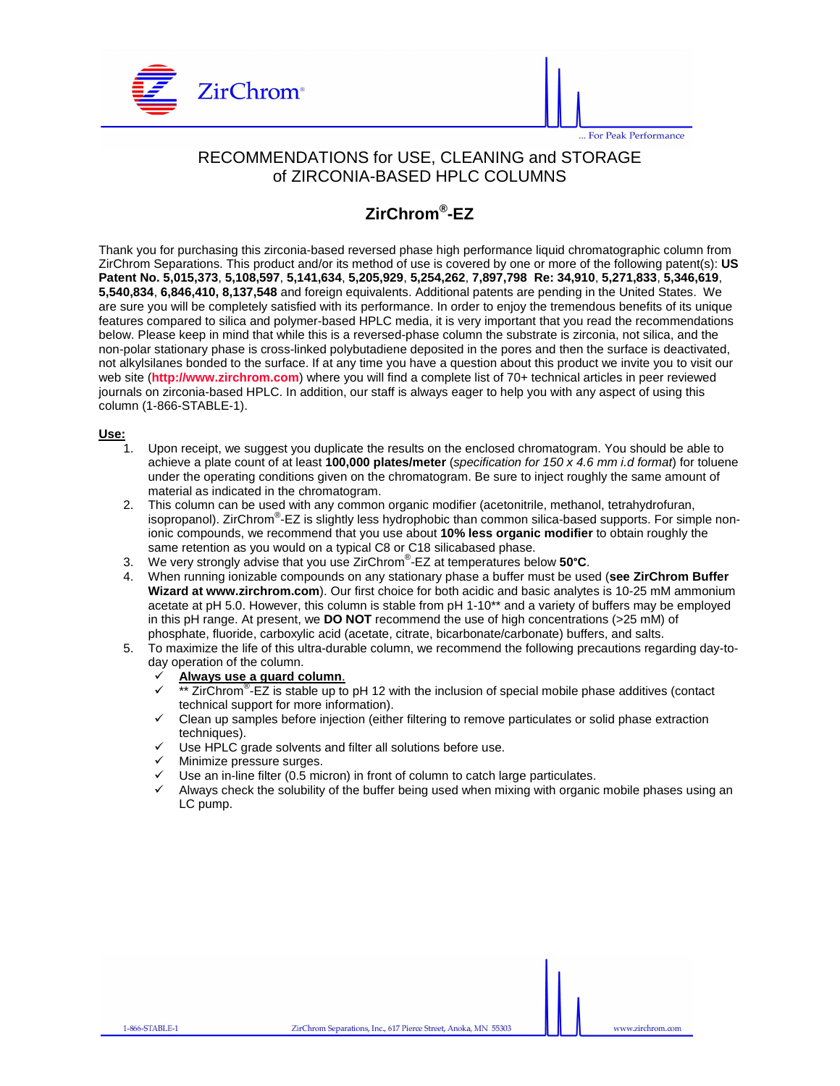



## RECOMMENDATIONS for USE, CLEANING and STORAGE of ZIRCONIA-BASED HPLC COLUMNS

## **ZirChrom® -EZ**

Thank you for purchasing this zirconia-based reversed phase high performance liquid chromatographic column from ZirChrom Separations. This product and/or its method of use is covered by one or more of the following patent(s): **US Patent No. 5,015,373**, **5,108,597**, **5,141,634**, **5,205,929**, **5,254,262**, **7,897,798 Re: 34,910**, **5,271,833**, **5,346,619**, **5,540,834**, **6,846,410, 8,137,548** and foreign equivalents. Additional patents are pending in the United States. We are sure you will be completely satisfied with its performance. In order to enjoy the tremendous benefits of its unique features compared to silica and polymer-based HPLC media, it is very important that you read the recommendations below. Please keep in mind that while this is a reversed-phase column the substrate is zirconia, not silica, and the non-polar stationary phase is cross-linked polybutadiene deposited in the pores and then the surface is deactivated, not alkylsilanes bonded to the surface. If at any time you have a question about this product we invite you to visit our web site (**http://www.zirchrom.com**) where you will find a complete list of 70+ technical articles in peer reviewed journals on zirconia-based HPLC. In addition, our staff is always eager to help you with any aspect of using this column (1-866-STABLE-1).

#### **Use:**

- Upon receipt, we suggest you duplicate the results on the enclosed chromatogram. You should be able to achieve a plate count of at least **100,000 plates/meter** (specification for 150 x 4.6 mm i.d format) for toluene under the operating conditions given on the chromatogram. Be sure to inject roughly the same amount of material as indicated in the chromatogram.
- 2. This column can be used with any common organic modifier (acetonitrile, methanol, tetrahydrofuran, isopropanol). ZirChrom® -EZ is slightly less hydrophobic than common silica-based supports. For simple nonionic compounds, we recommend that you use about **10% less organic modifier** to obtain roughly the same retention as you would on a typical C8 or C18 silicabased phase.
- 3. We very strongly advise that you use ZirChrom® -EZ at temperatures below **50**°**C**.
- 4. When running ionizable compounds on any stationary phase a buffer must be used (**see ZirChrom Buffer Wizard at www.zirchrom.com**). Our first choice for both acidic and basic analytes is 10-25 mM ammonium acetate at pH 5.0. However, this column is stable from pH 1-10\*\* and a variety of buffers may be employed in this pH range. At present, we **DO NOT** recommend the use of high concentrations (>25 mM) of phosphate, fluoride, carboxylic acid (acetate, citrate, bicarbonate/carbonate) buffers, and salts.
- 5. To maximize the life of this ultra-durable column, we recommend the following precautions regarding day-today operation of the column.

# **Always use a guard column.**<br><del>✓ <sup>\*\*</sup> ZirChrom<sup>®</sup>-FZ is stable up to</del>

- $\checkmark$  \*\* ZirChrom<sup>®</sup>-EZ is stable up to pH 12 with the inclusion of special mobile phase additives (contact technical support for more information).
- Clean up samples before injection (either filtering to remove particulates or solid phase extraction techniques).
- Use HPLC grade solvents and filter all solutions before use.
- Minimize pressure surges.
- Use an in-line filter (0.5 micron) in front of column to catch large particulates.
- Always check the solubility of the buffer being used when mixing with organic mobile phases using an LC pump.